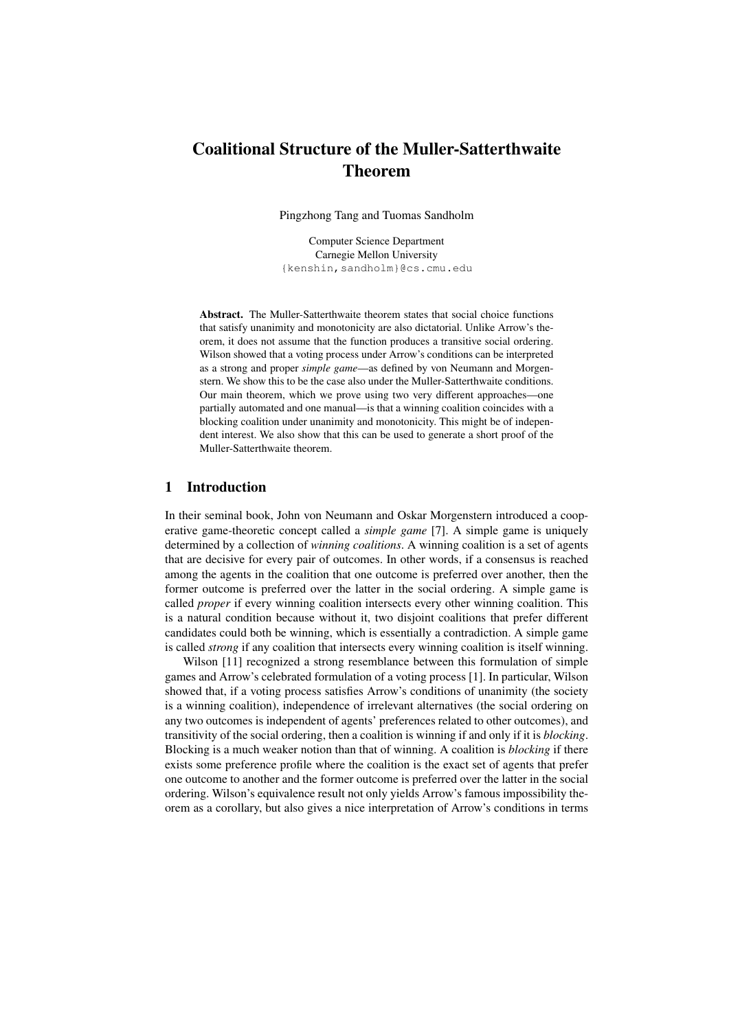# Coalitional Structure of the Muller-Satterthwaite Theorem

Pingzhong Tang and Tuomas Sandholm

Computer Science Department Carnegie Mellon University {kenshin,sandholm}@cs.cmu.edu

Abstract. The Muller-Satterthwaite theorem states that social choice functions that satisfy unanimity and monotonicity are also dictatorial. Unlike Arrow's theorem, it does not assume that the function produces a transitive social ordering. Wilson showed that a voting process under Arrow's conditions can be interpreted as a strong and proper *simple game*—as defined by von Neumann and Morgenstern. We show this to be the case also under the Muller-Satterthwaite conditions. Our main theorem, which we prove using two very different approaches—one partially automated and one manual—is that a winning coalition coincides with a blocking coalition under unanimity and monotonicity. This might be of independent interest. We also show that this can be used to generate a short proof of the Muller-Satterthwaite theorem.

### 1 Introduction

In their seminal book, John von Neumann and Oskar Morgenstern introduced a cooperative game-theoretic concept called a *simple game* [7]. A simple game is uniquely determined by a collection of *winning coalitions*. A winning coalition is a set of agents that are decisive for every pair of outcomes. In other words, if a consensus is reached among the agents in the coalition that one outcome is preferred over another, then the former outcome is preferred over the latter in the social ordering. A simple game is called *proper* if every winning coalition intersects every other winning coalition. This is a natural condition because without it, two disjoint coalitions that prefer different candidates could both be winning, which is essentially a contradiction. A simple game is called *strong* if any coalition that intersects every winning coalition is itself winning.

Wilson [11] recognized a strong resemblance between this formulation of simple games and Arrow's celebrated formulation of a voting process [1]. In particular, Wilson showed that, if a voting process satisfies Arrow's conditions of unanimity (the society is a winning coalition), independence of irrelevant alternatives (the social ordering on any two outcomes is independent of agents' preferences related to other outcomes), and transitivity of the social ordering, then a coalition is winning if and only if it is *blocking*. Blocking is a much weaker notion than that of winning. A coalition is *blocking* if there exists some preference profile where the coalition is the exact set of agents that prefer one outcome to another and the former outcome is preferred over the latter in the social ordering. Wilson's equivalence result not only yields Arrow's famous impossibility theorem as a corollary, but also gives a nice interpretation of Arrow's conditions in terms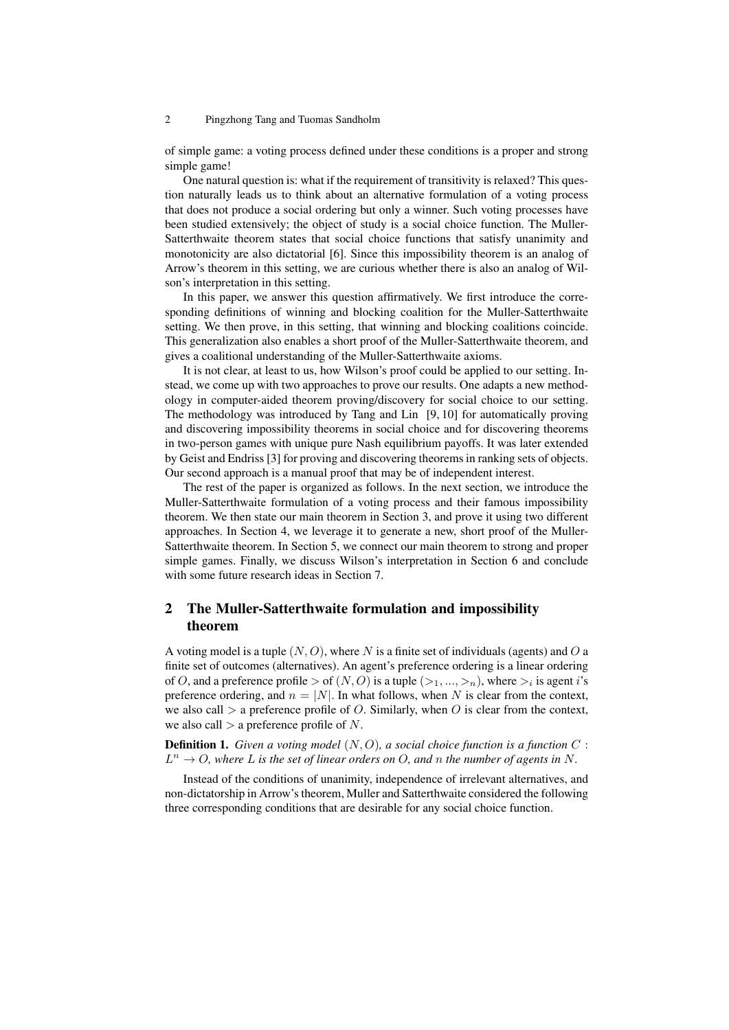of simple game: a voting process defined under these conditions is a proper and strong simple game!

One natural question is: what if the requirement of transitivity is relaxed? This question naturally leads us to think about an alternative formulation of a voting process that does not produce a social ordering but only a winner. Such voting processes have been studied extensively; the object of study is a social choice function. The Muller-Satterthwaite theorem states that social choice functions that satisfy unanimity and monotonicity are also dictatorial [6]. Since this impossibility theorem is an analog of Arrow's theorem in this setting, we are curious whether there is also an analog of Wilson's interpretation in this setting.

In this paper, we answer this question affirmatively. We first introduce the corresponding definitions of winning and blocking coalition for the Muller-Satterthwaite setting. We then prove, in this setting, that winning and blocking coalitions coincide. This generalization also enables a short proof of the Muller-Satterthwaite theorem, and gives a coalitional understanding of the Muller-Satterthwaite axioms.

It is not clear, at least to us, how Wilson's proof could be applied to our setting. Instead, we come up with two approaches to prove our results. One adapts a new methodology in computer-aided theorem proving/discovery for social choice to our setting. The methodology was introduced by Tang and Lin [9, 10] for automatically proving and discovering impossibility theorems in social choice and for discovering theorems in two-person games with unique pure Nash equilibrium payoffs. It was later extended by Geist and Endriss [3] for proving and discovering theorems in ranking sets of objects. Our second approach is a manual proof that may be of independent interest.

The rest of the paper is organized as follows. In the next section, we introduce the Muller-Satterthwaite formulation of a voting process and their famous impossibility theorem. We then state our main theorem in Section 3, and prove it using two different approaches. In Section 4, we leverage it to generate a new, short proof of the Muller-Satterthwaite theorem. In Section 5, we connect our main theorem to strong and proper simple games. Finally, we discuss Wilson's interpretation in Section 6 and conclude with some future research ideas in Section 7.

# 2 The Muller-Satterthwaite formulation and impossibility theorem

A voting model is a tuple (*N, O*), where *N* is a finite set of individuals (agents) and *O* a finite set of outcomes (alternatives). An agent's preference ordering is a linear ordering of *O*, and a preference profile  $>$  of  $(N, O)$  is a tuple  $(\gt_1, ..., \gt_n)$ , where  $\gt_i$  is agent *i*'s preference ordering, and  $n = |N|$ . In what follows, when N is clear from the context, we also call  $>$  a preference profile of *O*. Similarly, when *O* is clear from the context, we also call *>* a preference profile of *N*.

Definition 1. *Given a voting model* (*N, O*)*, a social choice function is a function C* :  $L^n \to O$ , where *L* is the set of linear orders on *O*, and *n* the number of agents in *N*.

Instead of the conditions of unanimity, independence of irrelevant alternatives, and non-dictatorship in Arrow's theorem, Muller and Satterthwaite considered the following three corresponding conditions that are desirable for any social choice function.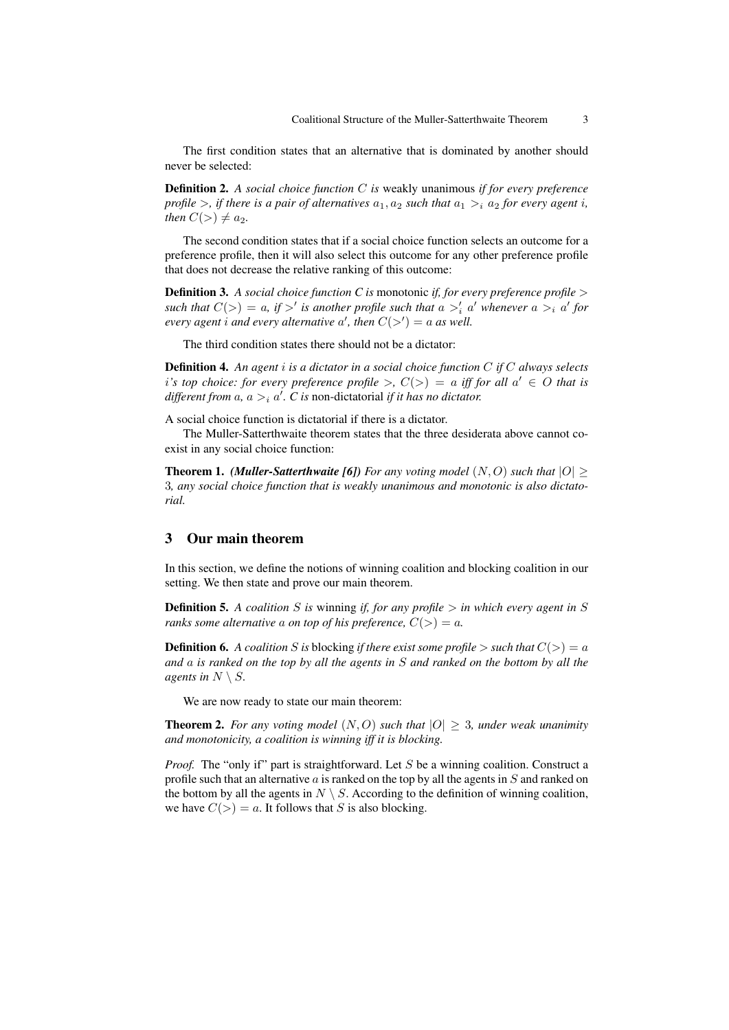The first condition states that an alternative that is dominated by another should never be selected:

Definition 2. *A social choice function C is* weakly unanimous *if for every preference profile*  $>$ *, if there is a pair of alternatives*  $a_1$ *,*  $a_2$  *such that*  $a_1$   $>$ *<sub>i</sub>*  $a_2$  *for every agent i, then*  $C(>) \neq a_2$ *.* 

The second condition states that if a social choice function selects an outcome for a preference profile, then it will also select this outcome for any other preference profile that does not decrease the relative ranking of this outcome:

Definition 3. *A social choice function C is* monotonic *if, for every preference profile > such that*  $C(>) = a$ , if  $>^{\prime}$  is another profile such that  $a >^{\prime} _i a'$  whenever  $a >^i_i a'$  for *every agent i and every alternative*  $a'$ , then  $C(\gt') = a$  *as well.* 

The third condition states there should not be a dictator:

Definition 4. *An agent i is a dictator in a social choice function C if C always selects i*<sup>*'s*</sup> top choice: for every preference profile  $\gt$ ,  $C(\gt) = a$  iff for all  $a' \in O$  that is *different from*  $a$ *,*  $a >_i a'$ *. C is non-dictatorial <i>if it has no dictator.* 

A social choice function is dictatorial if there is a dictator.

The Muller-Satterthwaite theorem states that the three desiderata above cannot coexist in any social choice function:

**Theorem 1.** *(Muller-Satterthwaite [6]) For any voting model*  $(N, O)$  *such that*  $|O| \ge$ 3*, any social choice function that is weakly unanimous and monotonic is also dictatorial.*

# 3 Our main theorem

In this section, we define the notions of winning coalition and blocking coalition in our setting. We then state and prove our main theorem.

**Definition 5.** A coalition *S* is winning *if, for any profile*  $>$  *in which every agent in S ranks some alternative a on top of his preference,*  $C(>) = a$ .

**Definition 6.** *A coalition S is* blocking *if there exist some profile*  $>$  *such that*  $C(>) = a$ *and a is ranked on the top by all the agents in S and ranked on the bottom by all the agents in*  $N \setminus S$ *.* 

We are now ready to state our main theorem:

**Theorem 2.** For any voting model  $(N, O)$  such that  $|O| > 3$ , under weak unanimity *and monotonicity, a coalition is winning iff it is blocking.*

*Proof.* The "only if" part is straightforward. Let *S* be a winning coalition. Construct a profile such that an alternative *a* is ranked on the top by all the agents in *S* and ranked on the bottom by all the agents in  $N \setminus S$ . According to the definition of winning coalition, we have  $C(>) = a$ . It follows that *S* is also blocking.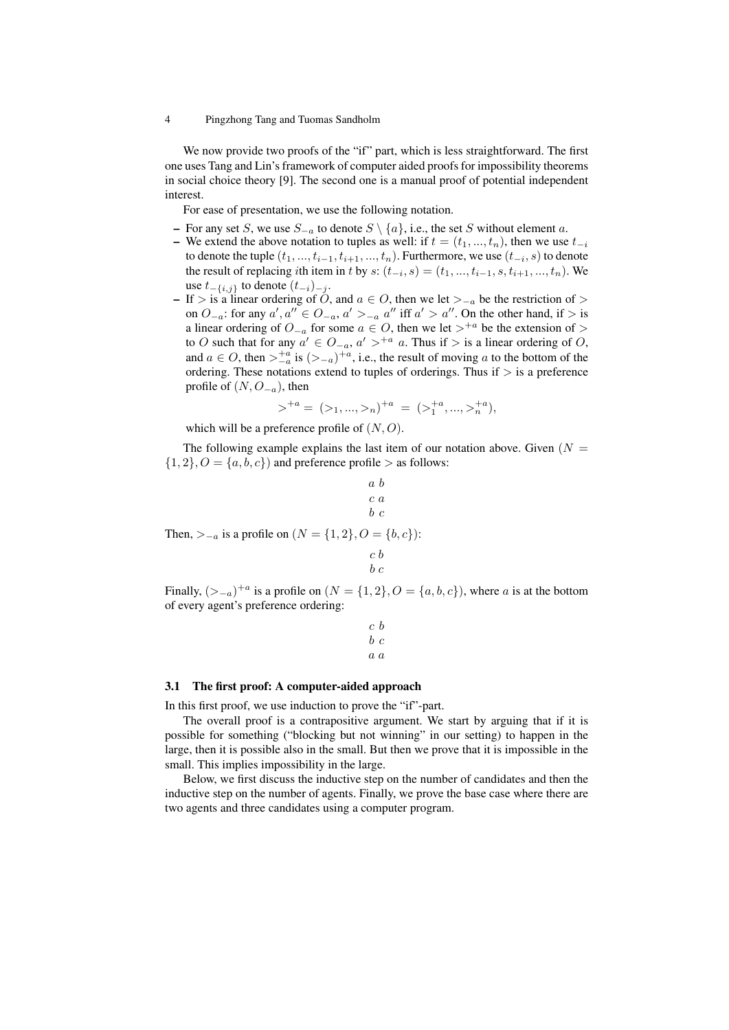We now provide two proofs of the "if" part, which is less straightforward. The first one uses Tang and Lin's framework of computer aided proofs for impossibility theorems in social choice theory [9]. The second one is a manual proof of potential independent interest.

For ease of presentation, we use the following notation.

- For any set *S*, we use *S−<sup>a</sup>* to denote *S \ {a}*, i.e., the set *S* without element *a*.
- We extend the above notation to tuples as well: if  $t = (t_1, ..., t_n)$ , then we use  $t_{-i}$ to denote the tuple  $(t_1,...,t_{i-1},t_{i+1},...,t_n).$  Furthermore, we use  $(t_{-i},s)$  to denote the result of replacing *i*th item in *t* by  $s$ :  $(t_{-i}, s) = (t_1, ..., t_{i-1}, s, t_{i+1}, ..., t_n)$ . We use *t−{i,j}* to denote (*t−<sup>i</sup>*)*−<sup>j</sup>* .
- If *>* is a linear ordering of *O*, and *a ∈ O*, then we let *>−<sup>a</sup>* be the restriction of *>* on  $O_{-a}$ : for any  $a', a'' \in O_{-a}, a' >_{-a} a''$  iff  $a' > a''$ . On the other hand, if  $>$  is a linear ordering of  $O_{-a}$  for some  $a \in O$ , then we let  $>^{+a}$  be the extension of  $>$ to *O* such that for any  $a' \text{ ∈ } O_{-a}$ ,  $a' >^{+a} a$ . Thus if > is a linear ordering of *O*, and  $a \in O$ , then  $>_{-a}^{+a}$  is  $(>_{-a})^{+a}$ , i.e., the result of moving *a* to the bottom of the ordering. These notations extend to tuples of orderings. Thus if *>* is a preference profile of  $(N, O<sub>-a</sub>)$ , then

$$
\gt^{+a} = (z_1, ..., z_n)^{+a} = (z_1^{+a}, ..., z_n^{+a}),
$$

which will be a preference profile of (*N, O*).

Then, *>−<sup>a</sup>* is a profile on (*N* = *{*1*,* 2*}, O* = *{b, c}*):

The following example explains the last item of our notation above. Given  $(N =$  $\{1, 2\}, O = \{a, b, c\}$  and preference profile  $>$  as follows:

$$
\begin{array}{c}\n a \ b \\
 c \ a \\
 b \ c\n\end{array}
$$
\n
$$
\begin{array}{c}\n a \ b \\
 c\n\end{array}
$$
\n
$$
\begin{array}{c}\n a \ b \ c \\
 b \ c\n\end{array}
$$
\n
$$
\begin{array}{c}\n a \ b \ c \\
 c \ b\n\end{array}
$$

Finally,  $(\geq -a)^{+a}$  is a profile on  $(N = \{1, 2\}, O = \{a, b, c\})$ , where *a* is at the bottom of every agent's preference ordering:

*b c*

$$
\begin{array}{cc} c & b \\ b & c \\ a & a \end{array}
$$

#### 3.1 The first proof: A computer-aided approach

In this first proof, we use induction to prove the "if"-part.

The overall proof is a contrapositive argument. We start by arguing that if it is possible for something ("blocking but not winning" in our setting) to happen in the large, then it is possible also in the small. But then we prove that it is impossible in the small. This implies impossibility in the large.

Below, we first discuss the inductive step on the number of candidates and then the inductive step on the number of agents. Finally, we prove the base case where there are two agents and three candidates using a computer program.

<sup>4</sup> Pingzhong Tang and Tuomas Sandholm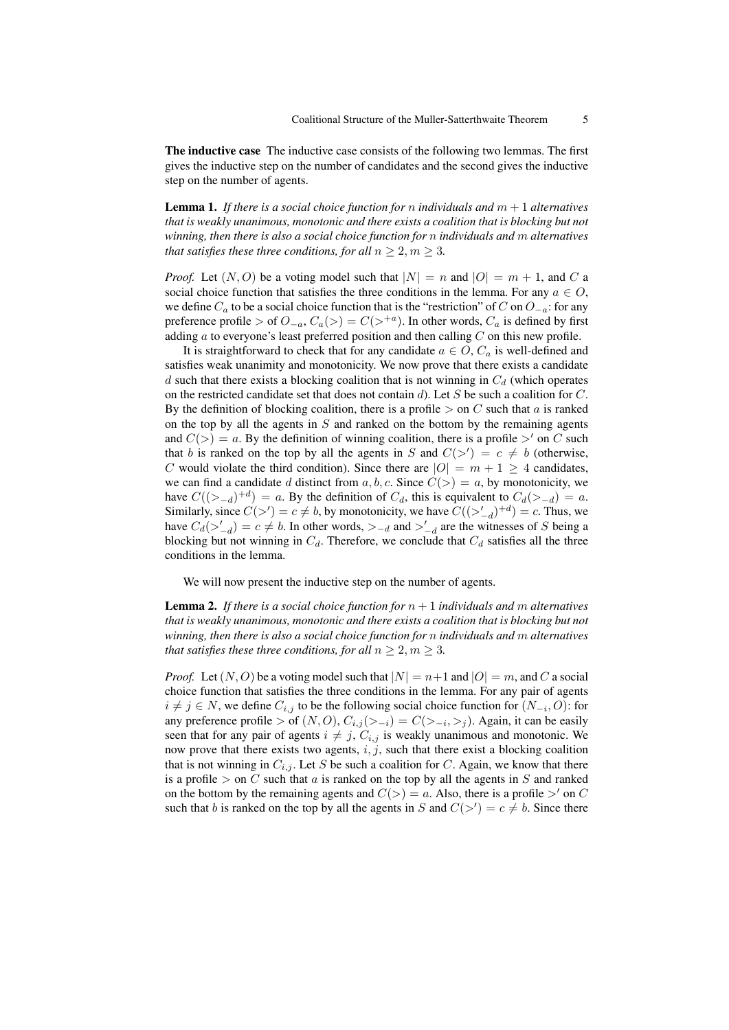The inductive case The inductive case consists of the following two lemmas. The first gives the inductive step on the number of candidates and the second gives the inductive step on the number of agents.

**Lemma 1.** If there is a social choice function for *n* individuals and  $m + 1$  alternatives *that is weakly unanimous, monotonic and there exists a coalition that is blocking but not winning, then there is also a social choice function for n individuals and m alternatives that satisfies these three conditions, for all*  $n \geq 2, m \geq 3$ *.* 

*Proof.* Let  $(N, O)$  be a voting model such that  $|N| = n$  and  $|O| = m + 1$ , and C a social choice function that satisfies the three conditions in the lemma. For any  $a \in O$ , we define *C<sup>a</sup>* to be a social choice function that is the "restriction" of *C* on *O−<sup>a</sup>*: for any preference profile > of  $O_{-a}$ ,  $C_a(>) = C(>^{+a})$ . In other words,  $C_a$  is defined by first adding *a* to everyone's least preferred position and then calling *C* on this new profile.

It is straightforward to check that for any candidate  $a \in O$ ,  $C_a$  is well-defined and satisfies weak unanimity and monotonicity. We now prove that there exists a candidate *d* such that there exists a blocking coalition that is not winning in *C<sup>d</sup>* (which operates on the restricted candidate set that does not contain *d*). Let *S* be such a coalition for *C*. By the definition of blocking coalition, there is a profile  $>$  on *C* such that *a* is ranked on the top by all the agents in *S* and ranked on the bottom by the remaining agents and  $C(>) = a$ . By the definition of winning coalition, there is a profile  $>'$  on C such that *b* is ranked on the top by all the agents in *S* and  $C(\gt') = c \neq b$  (otherwise, *C* would violate the third condition). Since there are  $|O| = m + 1 \geq 4$  candidates, we can find a candidate *d* distinct from  $a, b, c$ . Since  $C(>) = a$ , by monotonicity, we have  $C((>_{-d})^{+d}) = a$ . By the definition of  $C_d$ , this is equivalent to  $C_d(>_{-d}) = a$ . Similarly, since  $C(>') = c \neq b$ , by monotonicity, we have  $C((>'_d)^+d) = c$ . Thus, we have  $C_d(\geq'_{-d}) = c \neq b$ . In other words,  $\geq_{-d}$  and  $\geq'_{-d}$  are the witnesses of *S* being a blocking but not winning in  $C_d$ . Therefore, we conclude that  $C_d$  satisfies all the three conditions in the lemma.

We will now present the inductive step on the number of agents.

**Lemma 2.** If there is a social choice function for  $n+1$  individuals and m alternatives *that is weakly unanimous, monotonic and there exists a coalition that is blocking but not winning, then there is also a social choice function for n individuals and m alternatives that satisfies these three conditions, for all*  $n \geq 2, m \geq 3$ .

*Proof.* Let  $(N, O)$  be a voting model such that  $|N| = n+1$  and  $|O| = m$ , and C a social choice function that satisfies the three conditions in the lemma. For any pair of agents *i*  $≠$  *j*  $∈$  *N*, we define  $C_{i,j}$  to be the following social choice function for  $(N_{-i}, O)$ : for any preference profile  $>$  of  $(N, O), C_{i,j}(\geq -i) = C(\geq -i, \geq j)$ . Again, it can be easily seen that for any pair of agents  $i \neq j$ ,  $C_{i,j}$  is weakly unanimous and monotonic. We now prove that there exists two agents, *i, j*, such that there exist a blocking coalition that is not winning in  $C_{i,j}$ . Let *S* be such a coalition for *C*. Again, we know that there is a profile  $>$  on *C* such that *a* is ranked on the top by all the agents in *S* and ranked on the bottom by the remaining agents and  $C(>) = a$ . Also, there is a profile  $>$ <sup>*'*</sup> on *C* such that *b* is ranked on the top by all the agents in *S* and  $C(\gt') = c \neq b$ . Since there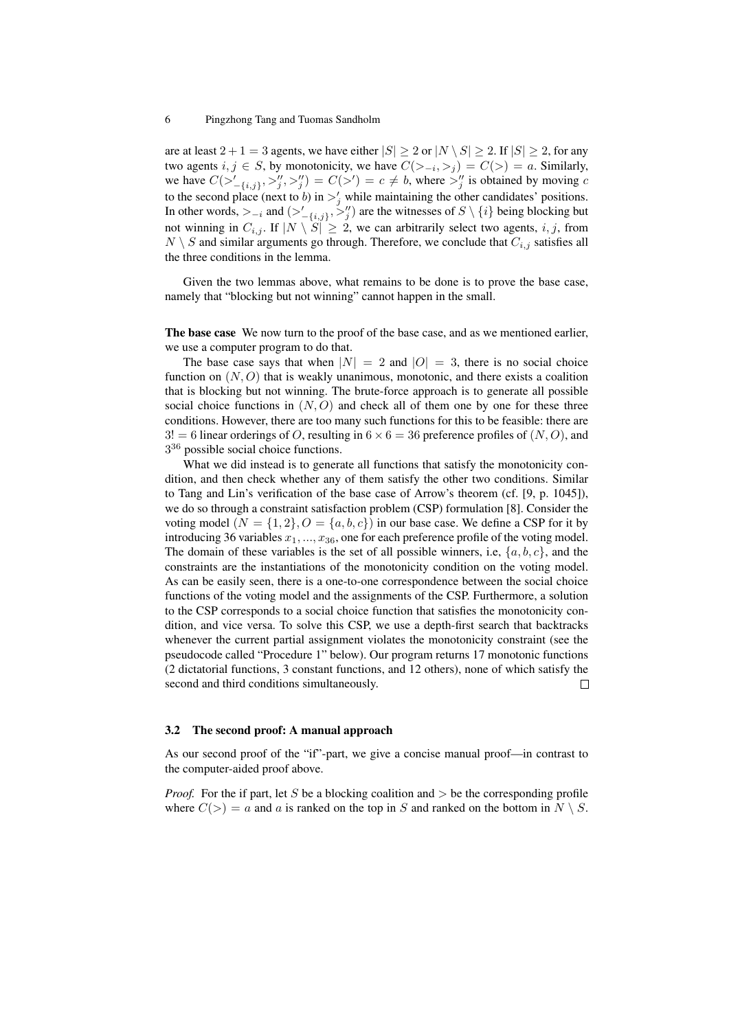are at least  $2 + 1 = 3$  agents, we have either  $|S| \ge 2$  or  $|N \setminus S| \ge 2$ . If  $|S| \ge 2$ , for any two agents  $i, j \in S$ , by monotonicity, we have  $C(>_{-i}, >_j) = C(>) = a$ . Similarly, we have  $C(\gt'_{-\{i,j\}}, \gt'_{j}', \gt'_{j}') = C(\gt') = c \neq b$ , where  $\gt''_{j}$  is obtained by moving c to the second place (next to *b*) in  $\frac{1}{j}$  while maintaining the other candidates' positions. In other words,  $>_{-i}$  and  $(>'_{-\{i,j\}}, >'_{j})$  are the witnesses of  $S \setminus \{i\}$  being blocking but not winning in  $C_{i,j}$ . If  $|N \setminus S| \geq 2$ , we can arbitrarily select two agents, *i, j*, from  $N \setminus S$  and similar arguments go through. Therefore, we conclude that  $C_{i,j}$  satisfies all the three conditions in the lemma.

Given the two lemmas above, what remains to be done is to prove the base case, namely that "blocking but not winning" cannot happen in the small.

The base case We now turn to the proof of the base case, and as we mentioned earlier, we use a computer program to do that.

The base case says that when  $|N| = 2$  and  $|O| = 3$ , there is no social choice function on  $(N, O)$  that is weakly unanimous, monotonic, and there exists a coalition that is blocking but not winning. The brute-force approach is to generate all possible social choice functions in  $(N, O)$  and check all of them one by one for these three conditions. However, there are too many such functions for this to be feasible: there are  $3! = 6$  linear orderings of *O*, resulting in  $6 \times 6 = 36$  preference profiles of  $(N, O)$ , and 3<sup>36</sup> possible social choice functions.

What we did instead is to generate all functions that satisfy the monotonicity condition, and then check whether any of them satisfy the other two conditions. Similar to Tang and Lin's verification of the base case of Arrow's theorem (cf. [9, p. 1045]), we do so through a constraint satisfaction problem (CSP) formulation [8]. Consider the voting model  $(N = \{1, 2\}, O = \{a, b, c\})$  in our base case. We define a CSP for it by introducing 36 variables *x*1*, ..., x*36, one for each preference profile of the voting model. The domain of these variables is the set of all possible winners, i.e, *{a, b, c}*, and the constraints are the instantiations of the monotonicity condition on the voting model. As can be easily seen, there is a one-to-one correspondence between the social choice functions of the voting model and the assignments of the CSP. Furthermore, a solution to the CSP corresponds to a social choice function that satisfies the monotonicity condition, and vice versa. To solve this CSP, we use a depth-first search that backtracks whenever the current partial assignment violates the monotonicity constraint (see the pseudocode called "Procedure 1" below). Our program returns 17 monotonic functions (2 dictatorial functions, 3 constant functions, and 12 others), none of which satisfy the second and third conditions simultaneously.  $\Box$ 

#### 3.2 The second proof: A manual approach

As our second proof of the "if"-part, we give a concise manual proof—in contrast to the computer-aided proof above.

*Proof.* For the if part, let *S* be a blocking coalition and *>* be the corresponding profile where  $C(>) = a$  and *a* is ranked on the top in *S* and ranked on the bottom in  $N \setminus S$ .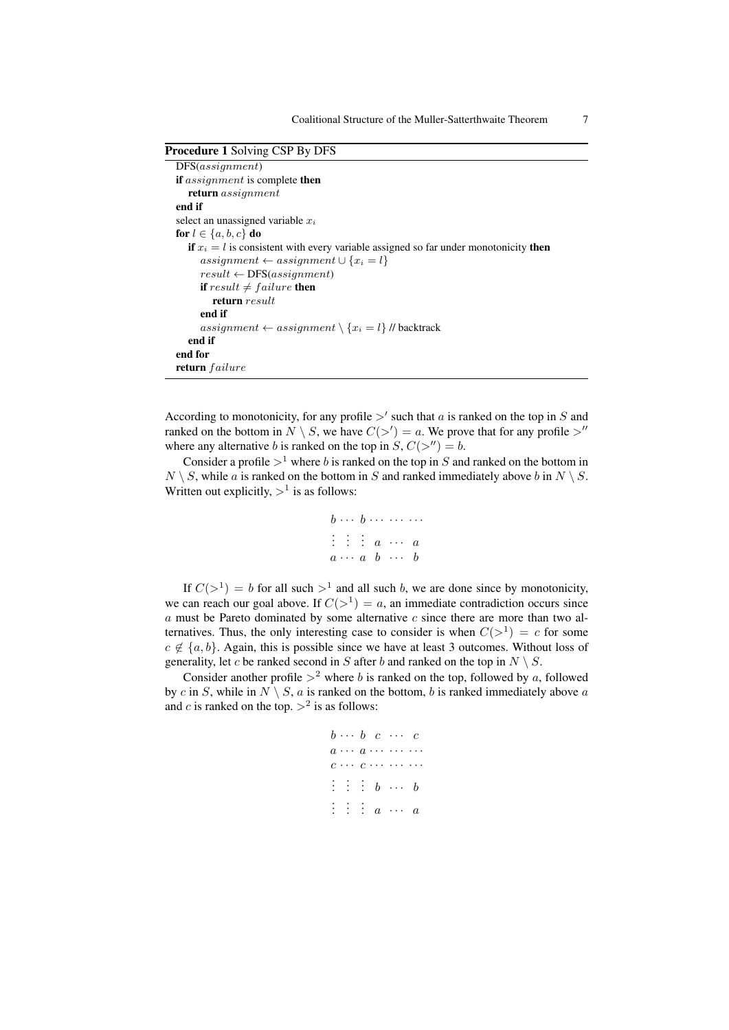Procedure 1 Solving CSP By DFS DFS(*assignment*) if *assignment* is complete then return *assignment* end if select an unassigned variable *x<sup>i</sup>* for  $l \in \{a, b, c\}$  do if  $x_i = l$  is consistent with every variable assigned so far under monotonicity then  $assignment ← assignment ∪ \{x_i = l\}$ *result ←* DFS(*assignment*) if  $result \neq failure$  then return *result* end if *assignment* ← *assignment*  $\setminus \{x_i = l\}$  // backtrack end if end for return *failure*

According to monotonicity, for any profile *>′* such that *a* is ranked on the top in *S* and ranked on the bottom in  $N \setminus S$ , we have  $C(\gt') = a$ . We prove that for any profile  $\gt''$ where any alternative *b* is ranked on the top in  $S, C(\geq'') = b$ .

Consider a profile  $>^1$  where *b* is ranked on the top in *S* and ranked on the bottom in  $N \setminus S$ , while *a* is ranked on the bottom in *S* and ranked immediately above *b* in  $N \setminus S$ . Written out explicitly,  $>^1$  is as follows:

$$
b \cdots b \cdots \cdots \cdots
$$
  

$$
\vdots \vdots \vdots a \cdots a
$$
  

$$
a \cdots a \quad b \quad \cdots \quad b
$$

If  $C(>^1) = b$  for all such  $>^1$  and all such *b*, we are done since by monotonicity, we can reach our goal above. If  $C(>^1) = a$ , an immediate contradiction occurs since *a* must be Pareto dominated by some alternative *c* since there are more than two alternatives. Thus, the only interesting case to consider is when  $C(>^1) = c$  for some *c ̸∈ {a, b}*. Again, this is possible since we have at least 3 outcomes. Without loss of generality, let *c* be ranked second in *S* after *b* and ranked on the top in  $N \setminus S$ .

Consider another profile  $>^2$  where *b* is ranked on the top, followed by *a*, followed by *c* in *S*, while in  $N \setminus S$ , *a* is ranked on the bottom, *b* is ranked immediately above *a* and *c* is ranked on the top.  $>^2$  is as follows:

|  |  | $b \cdots b \quad c \quad \cdots \quad c$                                                                                                  |  |
|--|--|--------------------------------------------------------------------------------------------------------------------------------------------|--|
|  |  | $a \cdots a \cdots \cdots \cdots$                                                                                                          |  |
|  |  | $c \cdots c \cdots \cdots$                                                                                                                 |  |
|  |  | $\vdots \hspace{0.1cm} \vdots \hspace{0.1cm} \vdots \hspace{0.1cm} \hspace{0.1cm} b \hspace{0.1cm} \cdots \hspace{0.1cm} \hspace{0.1cm} b$ |  |
|  |  | $\vdots\hspace{0.1cm} \vdots\hspace{0.1cm}\vdots\hspace{0.1cm}\hspace{0.1cm} a\hspace{0.2cm}\cdots\hspace{0.2cm}\hspace{0.1cm} a$          |  |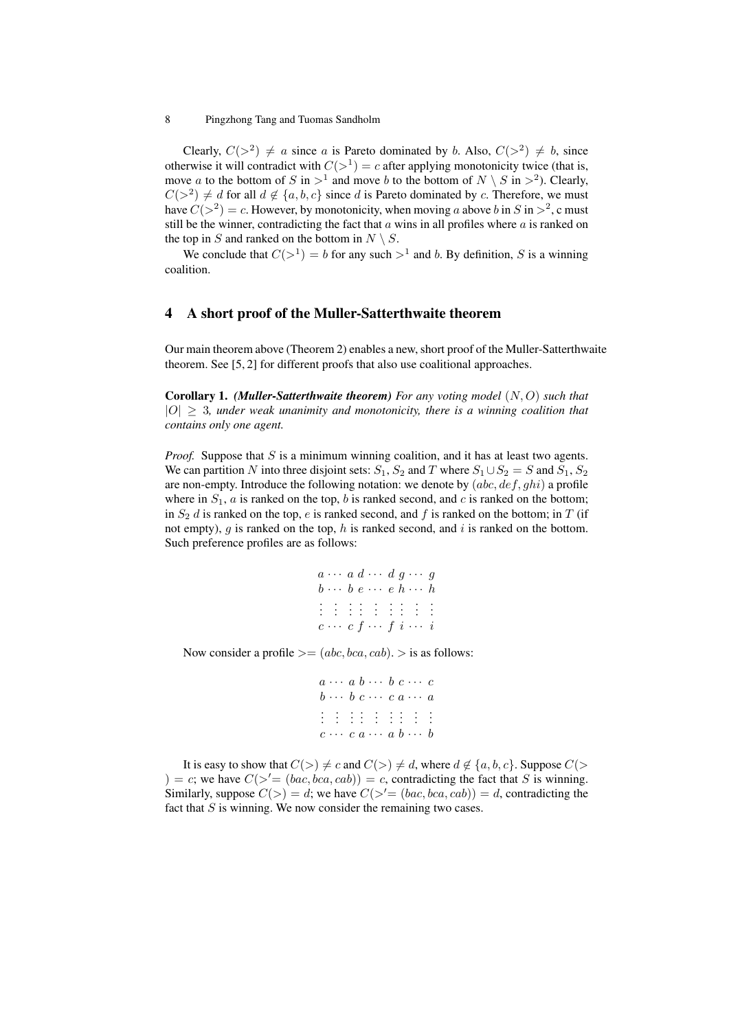Clearly,  $C(>^2) \neq a$  since *a* is Pareto dominated by *b*. Also,  $C(>^2) \neq b$ , since otherwise it will contradict with  $C(>^1) = c$  after applying monotonicity twice (that is, move *a* to the bottom of *S* in  $>$ <sup>1</sup> and move *b* to the bottom of  $N \setminus S$  in  $>$ <sup>2</sup>). Clearly,  $C(>^2) \neq d$  for all  $d \notin \{a, b, c\}$  since *d* is Pareto dominated by *c*. Therefore, we must have  $C(>^2) = c$ . However, by monotonicity, when moving *a* above *b* in *S* in  $>^2$ , c must still be the winner, contradicting the fact that  $a$  wins in all profiles where  $a$  is ranked on the top in *S* and ranked on the bottom in  $N \setminus S$ .

We conclude that  $C(>^1) = b$  for any such  $>^1$  and *b*. By definition, *S* is a winning coalition.

# 4 A short proof of the Muller-Satterthwaite theorem

Our main theorem above (Theorem 2) enables a new, short proof of the Muller-Satterthwaite theorem. See [5, 2] for different proofs that also use coalitional approaches.

Corollary 1. *(Muller-Satterthwaite theorem) For any voting model* (*N, O*) *such that*  $|O| \geq 3$ , under weak unanimity and monotonicity, there is a winning coalition that *contains only one agent.*

*Proof.* Suppose that *S* is a minimum winning coalition, and it has at least two agents. We can partition *N* into three disjoint sets:  $S_1$ ,  $S_2$  and  $T$  where  $S_1 \cup S_2 = S$  and  $S_1$ ,  $S_2$ are non-empty. Introduce the following notation: we denote by (*abc, def, ghi*) a profile where in  $S_1$ ,  $a$  is ranked on the top,  $b$  is ranked second, and  $c$  is ranked on the bottom; in  $S_2$  *d* is ranked on the top, *e* is ranked second, and *f* is ranked on the bottom; in *T* (if not empty), *g* is ranked on the top, *h* is ranked second, and *i* is ranked on the bottom. Such preference profiles are as follows:

```
a \cdots a d \cdots d g \cdots gb · · · b e · · · e h · · · h
 . . . . . . . . .
c · · · c f · · · f i · · · i
```
Now consider a profile  $\geq$  = (abc, bca, cab).  $>$  is as follows:

```
a \cdots a \ b \cdots \ b \ c \cdots \ cb \cdots b \cdot c \cdots c \cdot a \cdots a. . . . . . . . . .
 c · · · c a · · · a b · · · b
```
It is easy to show that  $C(>) \neq c$  and  $C(>) \neq d$ , where  $d \notin \{a, b, c\}$ . Suppose  $C(>$ ) = *c*; we have  $C(\geq^{\prime}=(bac,bca,cab))=c$ , contradicting the fact that *S* is winning. Similarly, suppose  $C(>) = d$ ; we have  $C(>'=(bac, bca, cab)) = d$ , contradicting the fact that *S* is winning. We now consider the remaining two cases.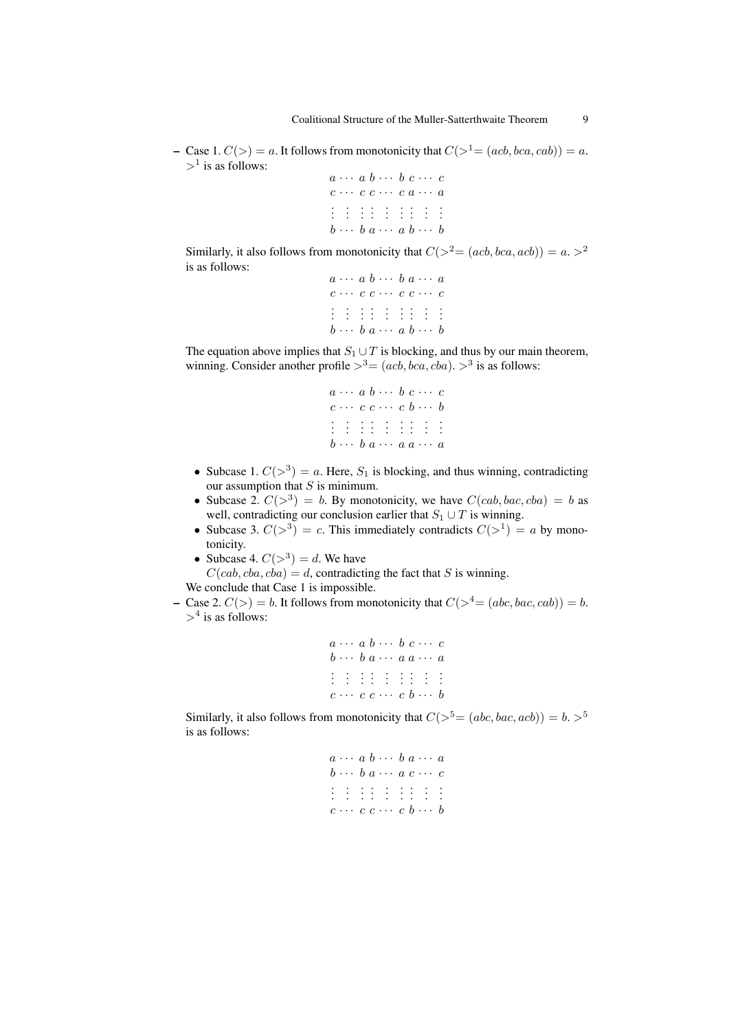– Case 1.  $C(\gt) = a$ . It follows from monotonicity that  $C(\gt) = (acb, bca, cab) = a$ . *>*<sup>1</sup> is as follows:

 $a \cdots a \ b \cdots \ b \ c \cdots \ c$ *c · · · c c · · · c a · · · a* . . . . . . . . . .  $b \cdots b \ a \cdots a \ b \cdots b$ 

Similarly, it also follows from monotonicity that  $C(>^2=(acb, bca, acb))=a.>^2$ is as follows:

| $a \cdots a b \cdots b a \cdots a$     |  |  |  |  |
|----------------------------------------|--|--|--|--|
| $c \cdots c \ c \cdots c \ c \cdots c$ |  |  |  |  |
| 111111111                              |  |  |  |  |
| $b \cdots b a \cdots a b \cdots b$     |  |  |  |  |

The equation above implies that  $S_1 \cup T$  is blocking, and thus by our main theorem, winning. Consider another profile  $>^3 = (acb, bca, cba)$ .  $>^3$  is as follows:

> *a · · · a b · · · b c · · · c c · · · c c · · · c b · · · b* . . . . . . . . . *b · · · b a · · · a a · · · a*

- Subcase 1.  $C(>^3) = a$ . Here,  $S_1$  is blocking, and thus winning, contradicting our assumption that *S* is minimum.
- Subcase 2.  $C(>\^3) = b$ . By monotonicity, we have  $C(cab, bac, cba) = b$  as well, contradicting our conclusion earlier that  $S_1 \cup T$  is winning.
- Subcase 3.  $C(>^3) = c$ . This immediately contradicts  $C(>^1) = a$  by monotonicity.
- Subcase 4.  $C(>^3) = d$ . We have

 $C(cab, cba, cba) = d$ , contradicting the fact that *S* is winning. We conclude that Case 1 is impossible.

- 
- Case 2.  $C(\gt) = b$ . It follows from monotonicity that  $C(\gt^4 = (abc, bac, cab)) = b$ . *>*<sup>4</sup> is as follows:

|  | $a \cdots a b \cdots b c \cdots c$         |  |  |
|--|--------------------------------------------|--|--|
|  | $b \cdots b$ $a \cdots a$ $a \cdots a$     |  |  |
|  | 111111111                                  |  |  |
|  | $c \cdots c \ c \cdots \ c \ b \cdots \ b$ |  |  |

Similarly, it also follows from monotonicity that  $C(>\xi^5=(abc, bac, acb)) = b. >^5$ is as follows:

```
a · · · a b · · · b a · · · a
b \cdots b a \cdots a c \cdots c. . . . . . . . .
c · · · c c · · · c b · · · b
```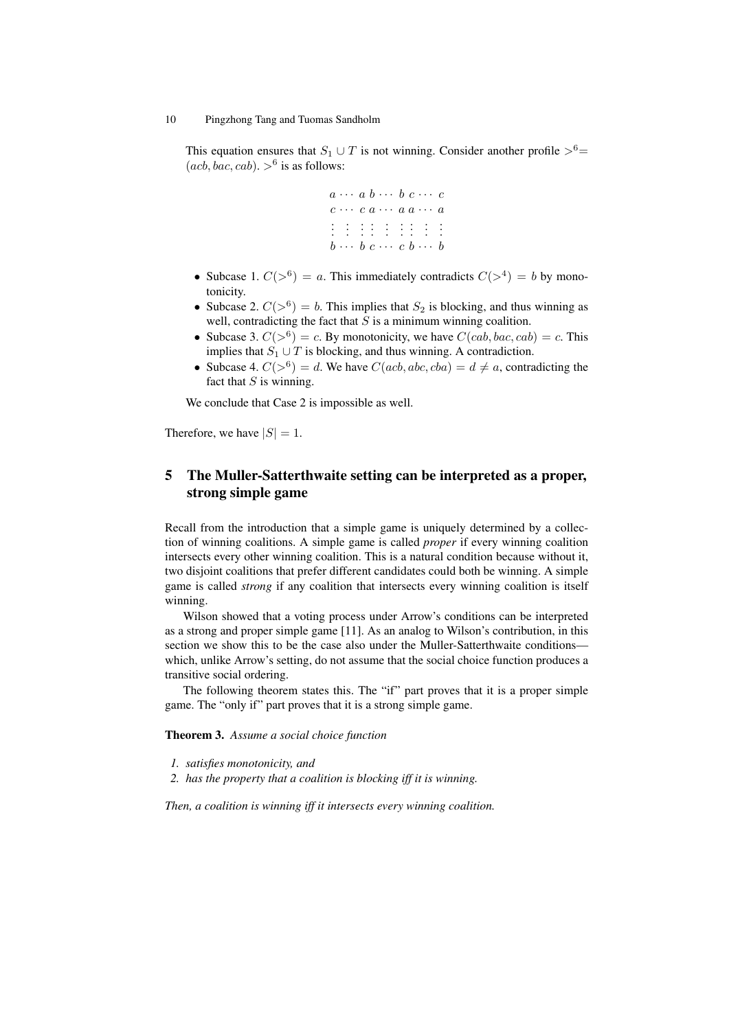This equation ensures that  $S_1 \cup T$  is not winning. Consider another profile  $>^6 =$  $(acb, bac, cab) . >^6$  is as follows:

> $a \cdots a \ b \cdots \ b \ c \cdots \ c$ *c · · · c a · · · a a · · · a* . . . . . . . . . . *b · · · b c · · · c b · · · b*

- Subcase 1.  $C(>^6) = a$ . This immediately contradicts  $C(>^4) = b$  by monotonicity.
- Subcase 2.  $C(>\^6) = b$ . This implies that  $S_2$  is blocking, and thus winning as well, contradicting the fact that *S* is a minimum winning coalition.
- Subcase 3.  $C(>^6) = c$ . By monotonicity, we have  $C(cab, bac, cab) = c$ . This implies that  $S_1 \cup T$  is blocking, and thus winning. A contradiction.
- Subcase 4.  $C(>^6) = d$ . We have  $C(acb, abc, cba) = d \neq a$ , contradicting the fact that *S* is winning.

We conclude that Case 2 is impossible as well.

Therefore, we have  $|S| = 1$ .

# 5 The Muller-Satterthwaite setting can be interpreted as a proper, strong simple game

Recall from the introduction that a simple game is uniquely determined by a collection of winning coalitions. A simple game is called *proper* if every winning coalition intersects every other winning coalition. This is a natural condition because without it, two disjoint coalitions that prefer different candidates could both be winning. A simple game is called *strong* if any coalition that intersects every winning coalition is itself winning.

Wilson showed that a voting process under Arrow's conditions can be interpreted as a strong and proper simple game [11]. As an analog to Wilson's contribution, in this section we show this to be the case also under the Muller-Satterthwaite conditions which, unlike Arrow's setting, do not assume that the social choice function produces a transitive social ordering.

The following theorem states this. The "if" part proves that it is a proper simple game. The "only if" part proves that it is a strong simple game.

Theorem 3. *Assume a social choice function*

- *1. satisfies monotonicity, and*
- *2. has the property that a coalition is blocking iff it is winning.*

*Then, a coalition is winning iff it intersects every winning coalition.*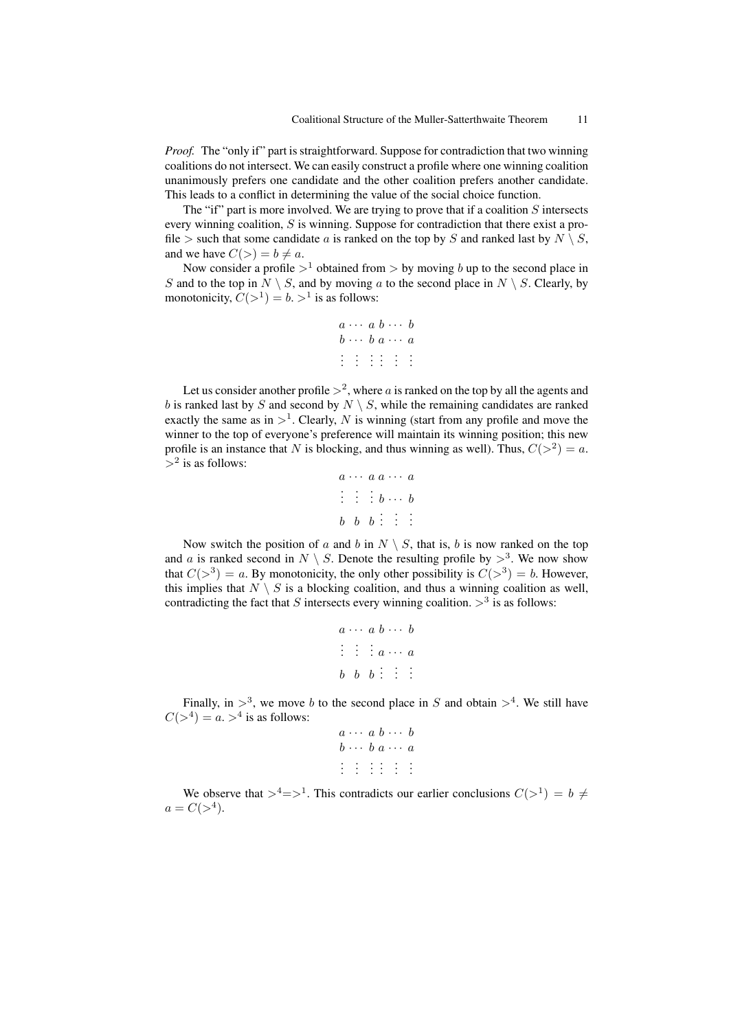*Proof.* The "only if" part is straightforward. Suppose for contradiction that two winning coalitions do not intersect. We can easily construct a profile where one winning coalition unanimously prefers one candidate and the other coalition prefers another candidate. This leads to a conflict in determining the value of the social choice function.

The "if" part is more involved. We are trying to prove that if a coalition *S* intersects every winning coalition, *S* is winning. Suppose for contradiction that there exist a profile  $>$  such that some candidate *a* is ranked on the top by *S* and ranked last by  $N \setminus S$ , and we have  $C(>) = b \neq a$ .

Now consider a profile  $>^1$  obtained from  $>$  by moving *b* up to the second place in *S* and to the top in  $N \setminus S$ , and by moving *a* to the second place in  $N \setminus S$ . Clearly, by monotonicity,  $C(>\^1) = b. >^1$  is as follows:

```
a \cdots a \ b \cdots \ bb · · · b a · · · a
. . . . . .
```
Let us consider another profile  $>^2$ , where *a* is ranked on the top by all the agents and *b* is ranked last by *S* and second by  $N \setminus S$ , while the remaining candidates are ranked exactly the same as in  $>^1$ . Clearly, N is winning (start from any profile and move the winner to the top of everyone's preference will maintain its winning position; this new profile is an instance that *N* is blocking, and thus winning as well). Thus,  $C(>^2) = a$ . *>*<sup>2</sup> is as follows:

```
a · · · a a · · · a
  \vdots \vdots \vdots b \cdots bb \quad b \quad b \quad \vdots \quad \vdots
```
Now switch the position of *a* and *b* in  $N \setminus S$ , that is, *b* is now ranked on the top and *a* is ranked second in  $N \setminus S$ . Denote the resulting profile by  $>^3$ . We now show that  $C(>^3) = a$ . By monotonicity, the only other possibility is  $C(>^3) = b$ . However, this implies that  $N \setminus S$  is a blocking coalition, and thus a winning coalition as well, contradicting the fact that *S* intersects every winning coalition.  $>^3$  is as follows:

```
a \cdots a \ b \cdots b\vdots \vdots \vdots \vdots \cdots \vdotsb \quad b \quad b \quad \vdots \quad \vdots
```
Finally, in  $>^3$ , we move *b* to the second place in *S* and obtain  $>^4$ . We still have  $C(>^4) = a. >^4$  is as follows:

|  |  | $a \cdots a b \cdots b$                                                             |  |
|--|--|-------------------------------------------------------------------------------------|--|
|  |  | $b \cdots b a \cdots a$                                                             |  |
|  |  | $\frac{1}{2}$ $\frac{1}{2}$ $\frac{1}{2}$ $\frac{1}{2}$ $\frac{1}{2}$ $\frac{1}{2}$ |  |
|  |  |                                                                                     |  |
|  |  |                                                                                     |  |

We observe that  $>^4 = >^1$ . This contradicts our earlier conclusions  $C(>^1) = b \neq 0$  $a = C(>\^4).$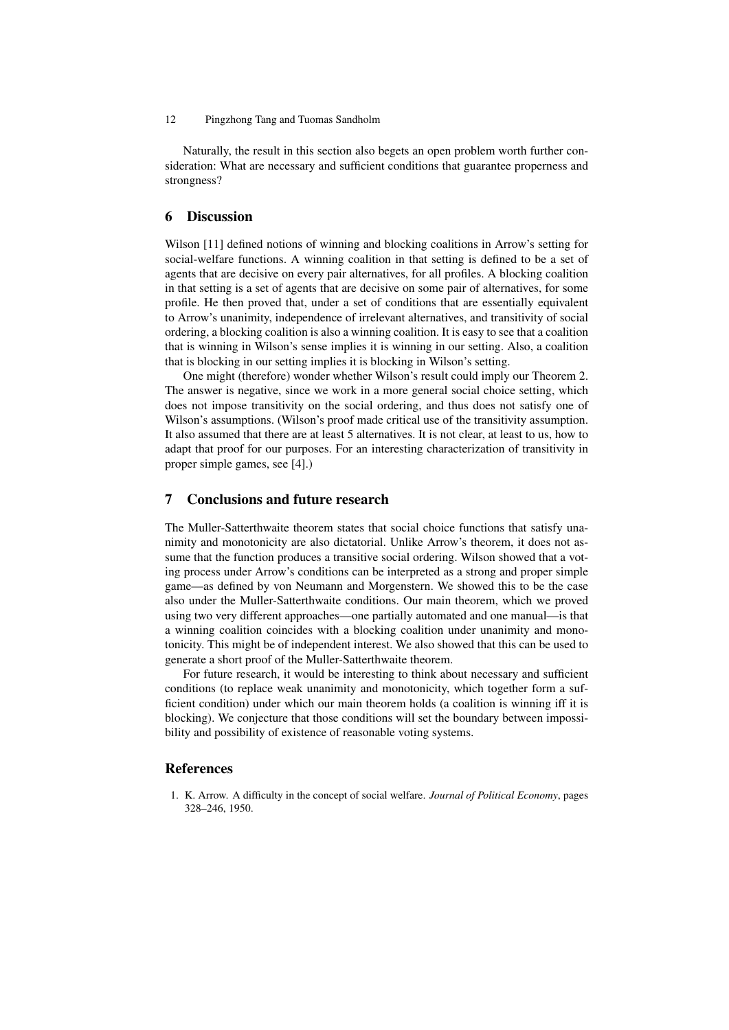Naturally, the result in this section also begets an open problem worth further consideration: What are necessary and sufficient conditions that guarantee properness and strongness?

### 6 Discussion

Wilson [11] defined notions of winning and blocking coalitions in Arrow's setting for social-welfare functions. A winning coalition in that setting is defined to be a set of agents that are decisive on every pair alternatives, for all profiles. A blocking coalition in that setting is a set of agents that are decisive on some pair of alternatives, for some profile. He then proved that, under a set of conditions that are essentially equivalent to Arrow's unanimity, independence of irrelevant alternatives, and transitivity of social ordering, a blocking coalition is also a winning coalition. It is easy to see that a coalition that is winning in Wilson's sense implies it is winning in our setting. Also, a coalition that is blocking in our setting implies it is blocking in Wilson's setting.

One might (therefore) wonder whether Wilson's result could imply our Theorem 2. The answer is negative, since we work in a more general social choice setting, which does not impose transitivity on the social ordering, and thus does not satisfy one of Wilson's assumptions. (Wilson's proof made critical use of the transitivity assumption. It also assumed that there are at least 5 alternatives. It is not clear, at least to us, how to adapt that proof for our purposes. For an interesting characterization of transitivity in proper simple games, see [4].)

#### 7 Conclusions and future research

The Muller-Satterthwaite theorem states that social choice functions that satisfy unanimity and monotonicity are also dictatorial. Unlike Arrow's theorem, it does not assume that the function produces a transitive social ordering. Wilson showed that a voting process under Arrow's conditions can be interpreted as a strong and proper simple game—as defined by von Neumann and Morgenstern. We showed this to be the case also under the Muller-Satterthwaite conditions. Our main theorem, which we proved using two very different approaches—one partially automated and one manual—is that a winning coalition coincides with a blocking coalition under unanimity and monotonicity. This might be of independent interest. We also showed that this can be used to generate a short proof of the Muller-Satterthwaite theorem.

For future research, it would be interesting to think about necessary and sufficient conditions (to replace weak unanimity and monotonicity, which together form a sufficient condition) under which our main theorem holds (a coalition is winning iff it is blocking). We conjecture that those conditions will set the boundary between impossibility and possibility of existence of reasonable voting systems.

# References

1. K. Arrow. A difficulty in the concept of social welfare. *Journal of Political Economy*, pages 328–246, 1950.